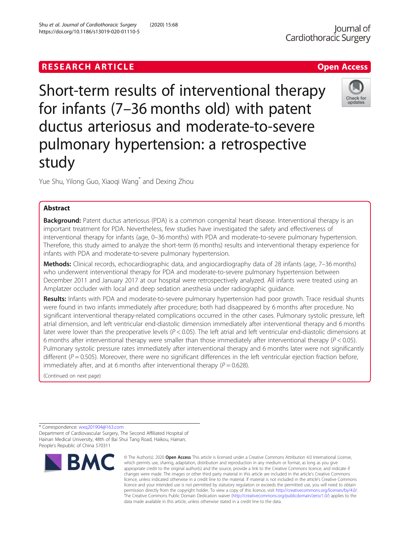# **RESEARCH ARTICLE Example 2018 12:30 The Contract of Contract ACCESS**

Short-term results of interventional therapy for infants (7–36 months old) with patent ductus arteriosus and moderate-to-severe pulmonary hypertension: a retrospective study

Yue Shu, Yilong Guo, Xiaoqi Wang\* and Dexing Zhou

## Abstract

Background: Patent ductus arteriosus (PDA) is a common congenital heart disease. Interventional therapy is an important treatment for PDA. Nevertheless, few studies have investigated the safety and effectiveness of interventional therapy for infants (age, 0–36 months) with PDA and moderate-to-severe pulmonary hypertension. Therefore, this study aimed to analyze the short-term (6 months) results and interventional therapy experience for infants with PDA and moderate-to-severe pulmonary hypertension.

Methods: Clinical records, echocardiographic data, and angiocardiography data of 28 infants (age, 7–36 months) who underwent interventional therapy for PDA and moderate-to-severe pulmonary hypertension between December 2011 and January 2017 at our hospital were retrospectively analyzed. All infants were treated using an Amplatzer occluder with local and deep sedation anesthesia under radiographic guidance.

Results: Infants with PDA and moderate-to-severe pulmonary hypertension had poor growth. Trace residual shunts were found in two infants immediately after procedure; both had disappeared by 6 months after procedure. No significant interventional therapy-related complications occurred in the other cases. Pulmonary systolic pressure, left atrial dimension, and left ventricular end-diastolic dimension immediately after interventional therapy and 6 months later were lower than the preoperative levels ( $P < 0.05$ ). The left atrial and left ventricular end-diastolic dimensions at 6 months after interventional therapy were smaller than those immediately after interventional therapy ( $P < 0.05$ ). Pulmonary systolic pressure rates immediately after interventional therapy and 6 months later were not significantly different ( $P = 0.505$ ). Moreover, there were no significant differences in the left ventricular ejection fraction before, immediately after, and at 6 months after interventional therapy ( $P = 0.628$ ).

(Continued on next page)

\* Correspondence: [wxq201904@163.com](mailto:wxq201904@163.com) Department of Cardiovascular Surgery, The Second Affiliated Hospital of Hainan Medical University, 48th of Bai Shui Tang Road, Haikou, Hainan, People's Republic of China 570311



<sup>©</sup> The Author(s), 2020 **Open Access** This article is licensed under a Creative Commons Attribution 4.0 International License, which permits use, sharing, adaptation, distribution and reproduction in any medium or format, as long as you give appropriate credit to the original author(s) and the source, provide a link to the Creative Commons licence, and indicate if changes were made. The images or other third party material in this article are included in the article's Creative Commons licence, unless indicated otherwise in a credit line to the material. If material is not included in the article's Creative Commons licence and your intended use is not permitted by statutory regulation or exceeds the permitted use, you will need to obtain permission directly from the copyright holder. To view a copy of this licence, visit [http://creativecommons.org/licenses/by/4.0/.](http://creativecommons.org/licenses/by/4.0/) The Creative Commons Public Domain Dedication waiver [\(http://creativecommons.org/publicdomain/zero/1.0/](http://creativecommons.org/publicdomain/zero/1.0/)) applies to the data made available in this article, unless otherwise stated in a credit line to the data.



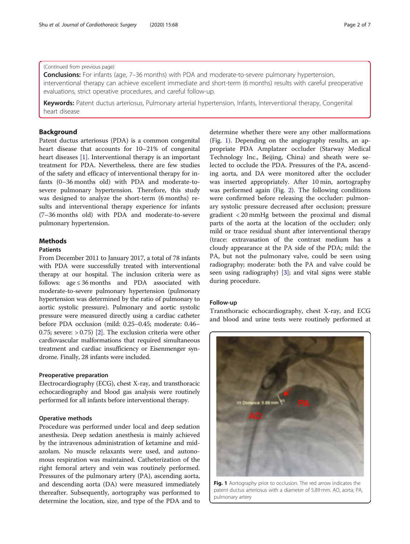### (Continued from previous page)

**Conclusions:** For infants (age, 7-36 months) with PDA and moderate-to-severe pulmonary hypertension, interventional therapy can achieve excellent immediate and short-term (6 months) results with careful preoperative evaluations, strict operative procedures, and careful follow-up.

Keywords: Patent ductus arteriosus, Pulmonary arterial hypertension, Infants, Interventional therapy, Congenital heart disease

## Background

Patent ductus arteriosus (PDA) is a common congenital heart disease that accounts for 10–21% of congenital heart diseases [\[1](#page-5-0)]. Interventional therapy is an important treatment for PDA. Nevertheless, there are few studies of the safety and efficacy of interventional therapy for infants (0–36 months old) with PDA and moderate-tosevere pulmonary hypertension. Therefore, this study was designed to analyze the short-term (6 months) results and interventional therapy experience for infants (7–36 months old) with PDA and moderate-to-severe pulmonary hypertension.

## Methods

#### **Patients**

From December 2011 to January 2017, a total of 78 infants with PDA were successfully treated with interventional therapy at our hospital. The inclusion criteria were as follows:  $age \leq 36$  months and PDA associated with moderate-to-severe pulmonary hypertension (pulmonary hypertension was determined by the ratio of pulmonary to aortic systolic pressure). Pulmonary and aortic systolic pressure were measured directly using a cardiac catheter before PDA occlusion (mild: 0.25–0.45; moderate: 0.46– 0.75; severe:  $> 0.75$  [[2\]](#page-5-0). The exclusion criteria were other cardiovascular malformations that required simultaneous treatment and cardiac insufficiency or Eisenmenger syndrome. Finally, 28 infants were included.

## Preoperative preparation

Electrocardiography (ECG), chest X-ray, and transthoracic echocardiography and blood gas analysis were routinely performed for all infants before interventional therapy.

## Operative methods

Procedure was performed under local and deep sedation anesthesia. Deep sedation anesthesia is mainly achieved by the intravenous administration of ketamine and midazolam. No muscle relaxants were used, and autonomous respiration was maintained. Catheterization of the right femoral artery and vein was routinely performed. Pressures of the pulmonary artery (PA), ascending aorta, and descending aorta (DA) were measured immediately thereafter. Subsequently, aortography was performed to determine the location, size, and type of the PDA and to

determine whether there were any other malformations (Fig. 1). Depending on the angiography results, an appropriate PDA Amplatzer occluder (Starway Medical Technology Inc., Beijing, China) and sheath were selected to occlude the PDA. Pressures of the PA, ascending aorta, and DA were monitored after the occluder was inserted appropriately. After 10 min, aortography was performed again (Fig. [2\)](#page-2-0). The following conditions were confirmed before releasing the occluder: pulmonary systolic pressure decreased after occlusion; pressure gradient < 20 mmHg between the proximal and dismal parts of the aorta at the location of the occluder; only mild or trace residual shunt after interventional therapy (trace: extravasation of the contrast medium has a cloudy appearance at the PA side of the PDA; mild: the PA, but not the pulmonary valve, could be seen using radiography; moderate: both the PA and valve could be seen using radiography) [\[3](#page-5-0)]; and vital signs were stable during procedure.

## Follow-up

Transthoracic echocardiography, chest X-ray, and ECG and blood and urine tests were routinely performed at



Fig. 1 Aortography prior to occlusion. The red arrow indicates the patent ductus arteriosus with a diameter of 5.89 mm. AO, aorta; PA, pulmonary artery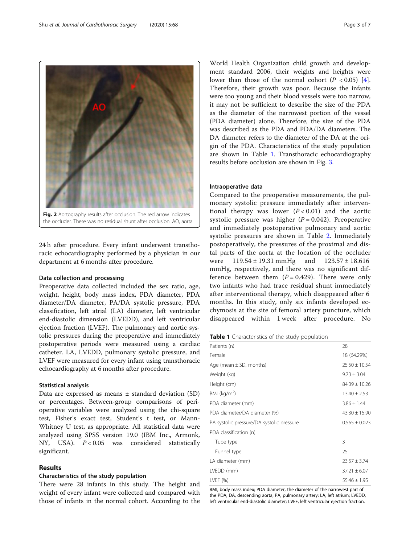24 h after procedure. Every infant underwent transthoracic echocardiography performed by a physician in our department at 6 months after procedure.

## Data collection and processing

Preoperative data collected included the sex ratio, age, weight, height, body mass index, PDA diameter, PDA diameter/DA diameter, PA/DA systolic pressure, PDA classification, left atrial (LA) diameter, left ventricular end-diastolic dimension (LVEDD), and left ventricular ejection fraction (LVEF). The pulmonary and aortic systolic pressures during the preoperative and immediately postoperative periods were measured using a cardiac catheter. LA, LVEDD, pulmonary systolic pressure, and LVEF were measured for every infant using transthoracic echocardiography at 6 months after procedure.

## Statistical analysis

Data are expressed as means ± standard deviation (SD) or percentages. Between-group comparisons of perioperative variables were analyzed using the chi-square test, Fisher's exact test, Student's t test, or Mann-Whitney U test, as appropriate. All statistical data were analyzed using SPSS version 19.0 (IBM Inc., Armonk, NY, USA).  $P < 0.05$  was considered statistically significant.

## Results

#### Characteristics of the study population

There were 28 infants in this study. The height and weight of every infant were collected and compared with those of infants in the normal cohort. According to the

World Health Organization child growth and development standard 2006, their weights and heights were lower than those of the normal cohort  $(P < 0.05)$  [\[4](#page-5-0)]. Therefore, their growth was poor. Because the infants were too young and their blood vessels were too narrow, it may not be sufficient to describe the size of the PDA as the diameter of the narrowest portion of the vessel (PDA diameter) alone. Therefore, the size of the PDA was described as the PDA and PDA/DA diameters. The DA diameter refers to the diameter of the DA at the origin of the PDA. Characteristics of the study population are shown in Table 1. Transthoracic echocardiography results before occlusion are shown in Fig. [3.](#page-3-0)

## Intraoperative data

Compared to the preoperative measurements, the pulmonary systolic pressure immediately after interventional therapy was lower  $(P < 0.01)$  and the aortic systolic pressure was higher  $(P = 0.042)$ . Preoperative and immediately postoperative pulmonary and aortic systolic pressures are shown in Table [2](#page-3-0). Immediately postoperatively, the pressures of the proximal and distal parts of the aorta at the location of the occluder were  $119.54 \pm 19.31$  mmHg and  $123.57 \pm 18.616$ mmHg, respectively, and there was no significant difference between them  $(P = 0.429)$ . There were only two infants who had trace residual shunt immediately after interventional therapy, which disappeared after 6 months. In this study, only six infants developed ecchymosis at the site of femoral artery puncture, which disappeared within 1 week after procedure. No

|  | Table 1 Characteristics of the study population |  |  |  |
|--|-------------------------------------------------|--|--|--|
|--|-------------------------------------------------|--|--|--|

| Patients (n)                              | 28                |
|-------------------------------------------|-------------------|
| Female                                    | 18 (64.29%)       |
| Age (mean $\pm$ SD, months)               | $25.50 + 10.54$   |
| Weight (kg)                               | $9.73 \pm 3.04$   |
| Height (cm)                               | $84.39 \pm 10.26$ |
| BMI ( $kg/m2$ )                           | $13.40 \pm 2.53$  |
| PDA diameter (mm)                         | $3.86 \pm 1.44$   |
| PDA diameter/DA diameter (%)              | $43.30 \pm 15.90$ |
| PA systolic pressure/DA systolic pressure | $0.565 \pm 0.023$ |
| PDA classification (n)                    |                   |
| Tube type                                 | 3                 |
| Funnel type                               | 25                |
| LA diameter (mm)                          | $23.57 \pm 3.74$  |
| LVEDD (mm)                                | $37.21 \pm 6.07$  |
| LVEF (%)                                  | $55.46 + 1.95$    |

BMI, body mass index; PDA diameter, the diameter of the narrowest part of the PDA; DA, descending aorta; PA, pulmonary artery; LA, left atrium; LVEDD, left ventricular end-diastolic diameter; LVEF, left ventricular ejection fraction.

<span id="page-2-0"></span>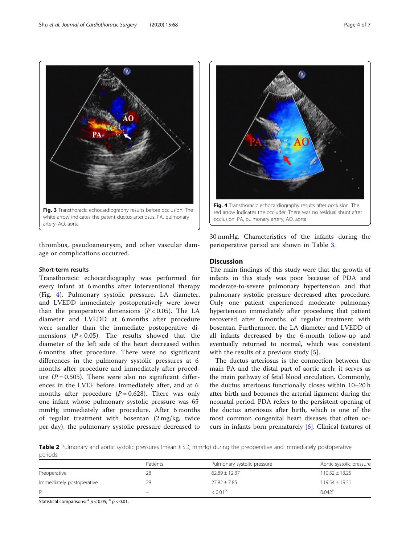thrombus, pseudoaneurysm, and other vascular damage or complications occurred.

#### Short-term results

Transthoracic echocardiography was performed for every infant at 6 months after interventional therapy (Fig. 4). Pulmonary systolic pressure, LA diameter, and LVEDD immediately postoperatively were lower than the preoperative dimensions  $(P < 0.05)$ . The LA diameter and LVEDD at 6 months after procedure were smaller than the immediate postoperative dimensions  $(P < 0.05)$ . The results showed that the diameter of the left side of the heart decreased within 6 months after procedure. There were no significant differences in the pulmonary systolic pressures at 6 months after procedure and immediately after procedure ( $P = 0.505$ ). There were also no significant differences in the LVEF before, immediately after, and at 6 months after procedure  $(P = 0.628)$ . There was only one infant whose pulmonary systolic pressure was 65 mmHg immediately after procedure. After 6 months of regular treatment with bosentan (2 mg/kg, twice per day), the pulmonary systolic pressure decreased to

30 mmHg. Characteristics of the infants during the perioperative period are shown in Table [3.](#page-4-0)

red arrow indicates the occluder. There was no residual shunt after

occlusion. PA, pulmonary artery; AO, aorta

#### **Discussion**

The main findings of this study were that the growth of infants in this study was poor because of PDA and moderate-to-severe pulmonary hypertension and that pulmonary systolic pressure decreased after procedure. Only one patient experienced moderate pulmonary hypertension immediately after procedure; that patient recovered after 6 months of regular treatment with bosentan. Furthermore, the LA diameter and LVEDD of all infants decreased by the 6-month follow-up and eventually returned to normal, which was consistent with the results of a previous study [[5\]](#page-5-0).

The ductus arteriosus is the connection between the main PA and the distal part of aortic arch; it serves as the main pathway of fetal blood circulation. Commonly, the ductus arteriosus functionally closes within 10–20 h after birth and becomes the arterial ligament during the neonatal period. PDA refers to the persistent opening of the ductus arteriosus after birth, which is one of the most common congenital heart diseases that often occurs in infants born prematurely [[6\]](#page-5-0). Clinical features of

Table 2 Pulmonary and aortic systolic pressures (mean ± SD, mmHg) during the preoperative and immediately postoperative periods

| $      -$                 |          |                             |                          |  |  |  |
|---------------------------|----------|-----------------------------|--------------------------|--|--|--|
|                           | Patients | Pulmonary systolic pressure | Aortic systolic pressure |  |  |  |
| Preoperative              | 28       | $62.89 + 12.37$             | $110.32 \pm 13.25$       |  |  |  |
| Immediately postoperative | 28       | $27.82 \pm 7.85$            | $119.54 \pm 19.31$       |  |  |  |
| D.                        |          | < 0.01 <sup>b</sup>         | $0.042^a$                |  |  |  |

Statistical comparisons:  $a$   $p$  < 0.05;  $b$   $p$  < 0.01.

<span id="page-3-0"></span>

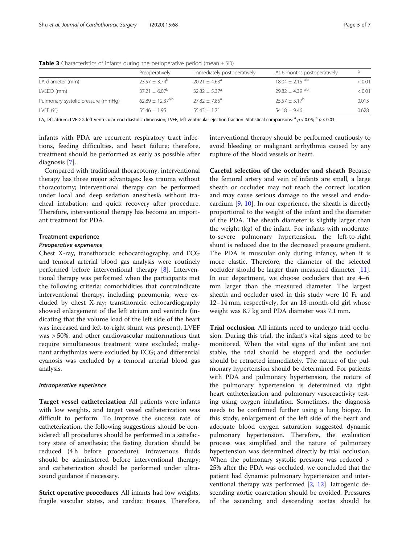|                                    | Preoperatively                 | Immediately postoperatively | At 6 months postoperatively     |        |
|------------------------------------|--------------------------------|-----------------------------|---------------------------------|--------|
| LA diameter (mm)                   | $23.57 \pm 3.74^{\circ}$       | $20.21 \pm 4.63^{\circ}$    | $18.04 \pm 2.15$ <sup>a,b</sup> | < 0.01 |
| LVEDD (mm)                         | $37.21 + 6.07^b$               | $32.82 + 5.37a$             | $79.82 + 4.39$ <sup>a,b</sup>   | < 0.01 |
| Pulmonary systolic pressure (mmHg) | $62.89 + 12.37$ <sup>a,b</sup> | $77.82 + 7.85$ <sup>a</sup> | $25.57 + 5.17^b$                | 0.013  |
| LVEF $(% )$                        | $55.46 \pm 1.95$               | $55.43 + 1.71$              | $54.18 \pm 9.46$                | 0.628  |

<span id="page-4-0"></span>**Table 3** Characteristics of infants during the perioperative period (mean  $\pm$  SD)

LA, left atrium; LVEDD, left ventricular end-diastolic dimension; LVEF, left ventricular ejection fraction. Statistical comparisons:  $a<sup>a</sup> p < 0.05$ ;  $b<sup>b</sup> p < 0.01$ .

infants with PDA are recurrent respiratory tract infections, feeding difficulties, and heart failure; therefore, treatment should be performed as early as possible after diagnosis [\[7](#page-5-0)].

Compared with traditional thoracotomy, interventional therapy has three major advantages: less trauma without thoracotomy; interventional therapy can be performed under local and deep sedation anesthesia without tracheal intubation; and quick recovery after procedure. Therefore, interventional therapy has become an important treatment for PDA.

#### Treatment experience

#### Preoperative experience

Chest X-ray, transthoracic echocardiography, and ECG and femoral arterial blood gas analysis were routinely performed before interventional therapy [\[8\]](#page-5-0). Interventional therapy was performed when the participants met the following criteria: comorbidities that contraindicate interventional therapy, including pneumonia, were excluded by chest X-ray; transthoracic echocardiography showed enlargement of the left atrium and ventricle (indicating that the volume load of the left side of the heart was increased and left-to-right shunt was present), LVEF was > 50%, and other cardiovascular malformations that require simultaneous treatment were excluded; malignant arrhythmias were excluded by ECG; and differential cyanosis was excluded by a femoral arterial blood gas analysis.

### Intraoperative experience

Target vessel catheterization All patients were infants with low weights, and target vessel catheterization was difficult to perform. To improve the success rate of catheterization, the following suggestions should be considered: all procedures should be performed in a satisfactory state of anesthesia; the fasting duration should be reduced (4 h before procedure); intravenous fluids should be administered before interventional therapy; and catheterization should be performed under ultrasound guidance if necessary.

Strict operative procedures All infants had low weights, fragile vascular states, and cardiac tissues. Therefore, interventional therapy should be performed cautiously to avoid bleeding or malignant arrhythmia caused by any rupture of the blood vessels or heart.

Careful selection of the occluder and sheath Because the femoral artery and vein of infants are small, a large sheath or occluder may not reach the correct location and may cause serious damage to the vessel and endocardium [[9,](#page-5-0) [10](#page-5-0)]. In our experience, the sheath is directly proportional to the weight of the infant and the diameter of the PDA. The sheath diameter is slightly larger than the weight (kg) of the infant. For infants with moderateto-severe pulmonary hypertension, the left-to-right shunt is reduced due to the decreased pressure gradient. The PDA is muscular only during infancy, when it is more elastic. Therefore, the diameter of the selected occluder should be larger than measured diameter [\[11](#page-6-0)]. In our department, we choose occluders that are 4–6 mm larger than the measured diameter. The largest sheath and occluder used in this study were 10 Fr and 12–14 mm, respectively, for an 18-month-old girl whose weight was 8.7 kg and PDA diameter was 7.1 mm.

Trial occlusion All infants need to undergo trial occlusion. During this trial, the infant's vital signs need to be monitored. When the vital signs of the infant are not stable, the trial should be stopped and the occluder should be retracted immediately. The nature of the pulmonary hypertension should be determined. For patients with PDA and pulmonary hypertension, the nature of the pulmonary hypertension is determined via right heart catheterization and pulmonary vasoreactivity testing using oxygen inhalation. Sometimes, the diagnosis needs to be confirmed further using a lung biopsy. In this study, enlargement of the left side of the heart and adequate blood oxygen saturation suggested dynamic pulmonary hypertension. Therefore, the evaluation process was simplified and the nature of pulmonary hypertension was determined directly by trial occlusion. When the pulmonary systolic pressure was reduced > 25% after the PDA was occluded, we concluded that the patient had dynamic pulmonary hypertension and interventional therapy was performed [[2,](#page-5-0) [12\]](#page-6-0). Iatrogenic descending aortic coarctation should be avoided. Pressures of the ascending and descending aortas should be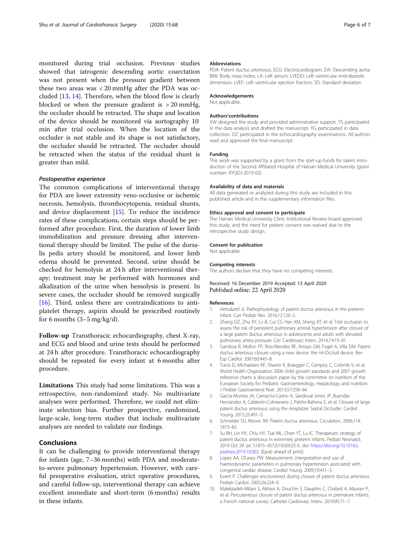<span id="page-5-0"></span>monitored during trial occlusion. Previous studies showed that iatrogenic descending aortic coarctation was not present when the pressure gradient between these two areas was < 20 mmHg after the PDA was occluded [[13,](#page-6-0) [14\]](#page-6-0). Therefore, when the blood flow is clearly blocked or when the pressure gradient is > 20 mmHg, the occluder should be retracted. The shape and location of the device should be monitored via aortography 10 min after trial occlusion. When the location of the occluder is not stable and its shape is not satisfactory, the occluder should be retracted. The occluder should be retracted when the status of the residual shunt is greater than mild.

#### Postoperative experience

The common complications of interventional therapy for PDA are lower extremity veno-occlusive or ischemic necrosis, hemolysis, thrombocytopenia, residual shunts, and device displacement [\[15\]](#page-6-0). To reduce the incidence rates of these complications, certain steps should be performed after procedure. First, the duration of lower limb immobilization and pressure dressing after interventional therapy should be limited. The pulse of the dorsalis pedis artery should be monitored, and lower limb edema should be prevented. Second, urine should be checked for hemolysis at 24 h after interventional therapy; treatment may be performed with hormones and alkalization of the urine when hemolysis is present. In severe cases, the occluder should be removed surgically [[16\]](#page-6-0). Third, unless there are contraindications to antiplatelet therapy, aspirin should be prescribed routinely for 6 months  $(3-5 \text{ mg/kg/d}).$ 

Follow-up Transthoracic echocardiography, chest X-ray, and ECG and blood and urine tests should be performed at 24 h after procedure. Transthoracic echocardiography should be repeated for every infant at 6 months after procedure.

Limitations This study had some limitations. This was a retrospective, non-randomized study. No multivariate analyses were performed. Therefore, we could not eliminate selection bias. Further prospective, randomized, large-scale, long-term studies that include multivariate analyses are needed to validate our findings.

## Conclusions

It can be challenging to provide interventional therapy for infants (age, 7–36 months) with PDA and moderateto-severe pulmonary hypertension. However, with careful preoperative evaluation, strict operative procedures, and careful follow-up, interventional therapy can achieve excellent immediate and short-term (6 months) results in these infants.

#### Abbreviations

PDA: Patent ductus arteriosus; ECG: Electrocardiogram; DA: Descending aorta; BMI: Body mass index; LA: Left atrium; LVEDD: Left ventricular end-diastolic dimension; LVEF: Left ventricular ejection fraction; SD: Standard deviation

## Acknowledgements

Not applicable.

#### Authors'contributions

XW designed the study and provided administrative support. YS participated in the data analysis and drafted the manuscript. YG participated in data collection. DZ participated in the echocardiography examinations. All authors read and approved the final manuscript.

#### Funding

This work was supported by a grant from the start-up funds for talent introduction of the Second Affiliated Hospital of Hainan Medical University (grant number: KYQDJ-2019-02).

#### Availability of data and materials

All data generated or analyzed during this study are included in this published article and in the supplementary information files.

#### Ethics approval and consent to participate

The Hainan Medical University Clinic Institutional Review board approved this study, and the need for patient consent was waived due to the retrospective study design.

#### Consent for publication

Not applicable.

#### Competing interests

The authors declare that they have no competing interests.

#### Received: 16 December 2019 Accepted: 13 April 2020 Published online: 22 April 2020

#### References

- 1. Vettukattil JJ. Pathophysiology of patent ductus arteriosus in the preterm infant. Curr Pediatr Rev. 2016;12:120–2.
- 2. Zhang DZ, Zhu XY, Lv B, Cui CS, Han XM, Sheng XT, et al. Trial occlusion to assess the risk of persistent pulmonary arterial hypertension after closure of a large patent ductus arteriosus in adolescents and adults with elevated pulmonary artery pressure. Circ Cardiovasc Interv. 2014;7:473–81.
- 3. Gamboa R, Mollon FP, Rios-Mendez RE, Arroyo GM, Fogel A, Villa DM. Patent ductus arteriosus closure using a new device: the nit-Occlud device. Rev Esp Cardiol. 2007;60:445–8.
- 4. Turck D, Michaelsen KF, Shamir R, Braegger C, Campoy C, Colomb V, et al. World Health Organization 2006 child growth standards and 2007 growth reference charts: a discussion paper by the committee on nutrition of the European Society for Pediatric Gastroenterology, Hepatology, and nutrition. J Pediatr Gastroenterol Nutr. 2013;57:258–64.
- 5. García-Montes JA, Camacho-Castro A, Sandoval-Jones JP, Buendía-Hernández A, Calderón-Colmenero J, Patiño-Bahena E, et al. Closure of large patent ductus arteriosus using the Amplatzer Septal Occluder. Cardiol Young. 2015;25:491–5.
- 6. Schneider DJ, Moore JW. Patent ductus arteriosus. Circulation. 2006;114: 1873–82.
- 7. Su BH, Lin HY, Chiu HY, Tsai ML, Chen YT, Lu IC. Therapeutic strategy of patent ductus arteriosus in extremely preterm infants. Pediatr Neonatol. 2019 Oct 29. pii: S1875–9572(19)30525-X. doi: [https://doi.org/10.1016/j.](https://doi.org/10.1016/j.pedneo.2019.10.002) [pedneo.2019.10.002](https://doi.org/10.1016/j.pedneo.2019.10.002). [Epub ahead of print].
- 8. Lopes AA, O'Leary PW. Measurement, interpretation and use of haemodynamic parameters in pulmonary hypertension associated with congenital cardiac disease. Cardiol Young. 2009;19:431–5.
- 9. Ewert P. Challenges encountered during closure of patent ductus arteriosus. Pediatr Cardiol. 2005;26:224–9.
- 10. Malekzadeh-Milani S, Akhavi A, Douchin S, Dauphin C, Chalard A, Mauran P, et al. Percutaneous closure of patent ductus arteriosus in premature infants: a French national survey. Catheter Cardiovasc Interv. 2019;95:71–7.